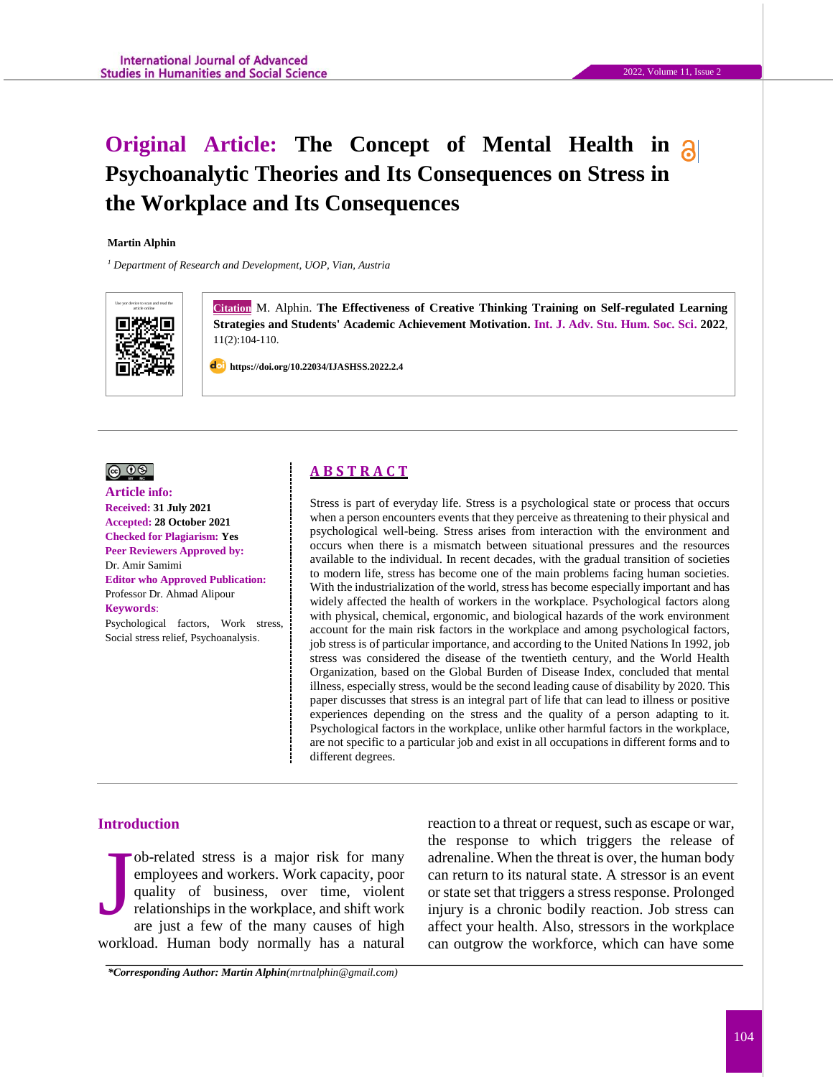# **Original Article: The Concept of Mental Health in Psychoanalytic Theories and Its Consequences on Stress in the Workplace and Its Consequences**

#### **Martin Alphin**

*<sup>1</sup> Department of Research and Development, UOP, Vian, Austria*



**Citation** M. Alphin. The Effectiveness of Creative Thinking Training on Self-regulated Learning **Strategies and Students' Academic Achievement Motivation. Int. J. Adv. Stu. Hum. Soc. Sci. 2022**, 11(2):104-110.

 **https://doi.org/10.22034/IJASHSS.2022.2.4**

### $\circledcirc$   $\circledcirc$

#### **Article info: Received: 31 July 2021 Accepted: 28 October 2021 Checked for Plagiarism: Yes Peer Reviewers Approved by:**  Dr. Amir Samimi **Editor who Approved Publication:**  [Professor Dr. Ahmad Alipour](http://www.ijashss.com/journal/editorial.board?edbc=8091) **Keywords**:

Psychological factors, Work stress, Social stress relief, Psychoanalysis.

# **A B S T R A C T**

Stress is part of everyday life. Stress is a psychological state or process that occurs when a person encounters events that they perceive as threatening to their physical and psychological well-being. Stress arises from interaction with the environment and occurs when there is a mismatch between situational pressures and the resources available to the individual. In recent decades, with the gradual transition of societies to modern life, stress has become one of the main problems facing human societies. With the industrialization of the world, stress has become especially important and has widely affected the health of workers in the workplace. Psychological factors along with physical, chemical, ergonomic, and biological hazards of the work environment account for the main risk factors in the workplace and among psychological factors, job stress is of particular importance, and according to the United Nations In 1992, job stress was considered the disease of the twentieth century, and the World Health Organization, based on the Global Burden of Disease Index, concluded that mental illness, especially stress, would be the second leading cause of disability by 2020. This paper discusses that stress is an integral part of life that can lead to illness or positive experiences depending on the stress and the quality of a person adapting to it. Psychological factors in the workplace, unlike other harmful factors in the workplace, are not specific to a particular job and exist in all occupations in different forms and to different degrees.

#### **Introduction**

ob-related stress is a major risk for many employees and workers. Work capacity, poor quality of business, over time, violent relationships in the workplace, and shift work are just a few of the many causes of high workload. Human body normally has a natural J

reaction to a threat or request, such as escape or war, the response to which triggers the release of adrenaline. When the threat is over, the human body can return to its natural state. A stressor is an event or state set that triggers a stress response. Prolonged injury is a chronic bodily reaction. Job stress can affect your health. Also, stressors in the workplace can outgrow the workforce, which can have some

*\*Corresponding Author: Martin Alphin[\(mrtnalphin@gmail.com\)](mailto:mrtnalphin@gmail.com)*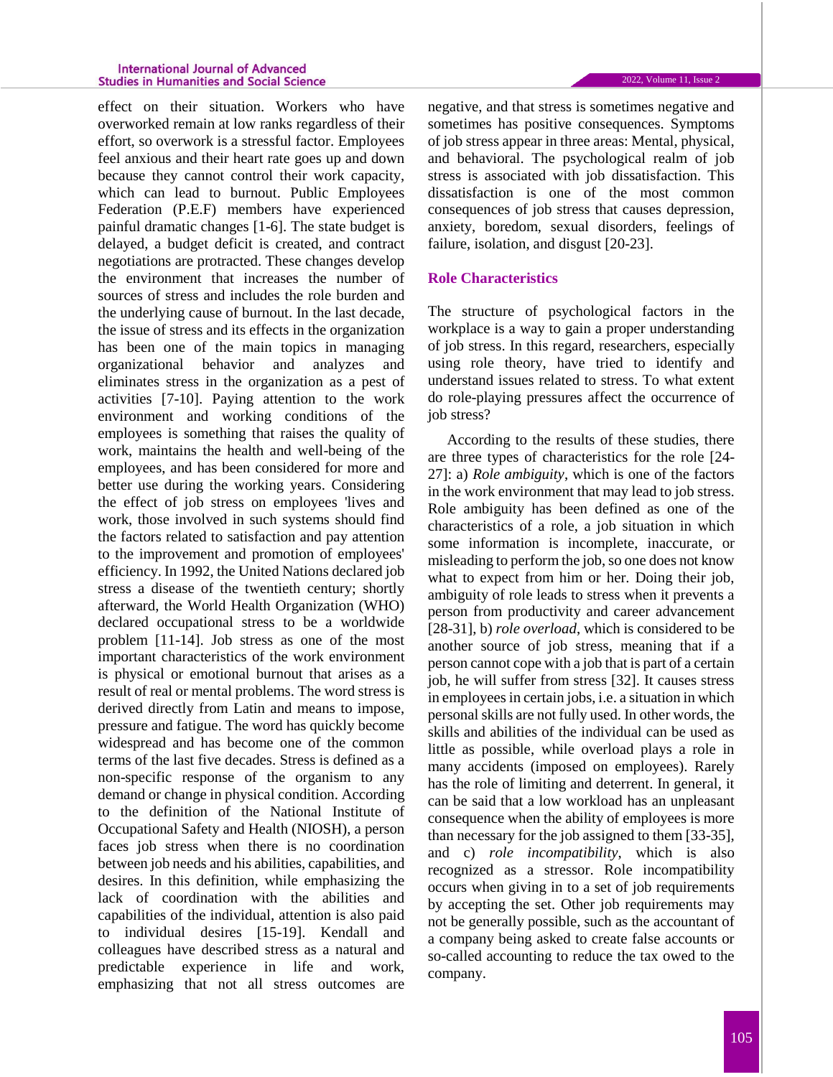#### **International Journal of Advanced Studies in Humanities and Social Science**

effect on their situation. Workers who have overworked remain at low ranks regardless of their effort, so overwork is a stressful factor. Employees feel anxious and their heart rate goes up and down because they cannot control their work capacity, which can lead to burnout. Public Employees Federation (P.E.F) members have experienced painful dramatic changes [1-6]. The state budget is delayed, a budget deficit is created, and contract negotiations are protracted. These changes develop the environment that increases the number of sources of stress and includes the role burden and the underlying cause of burnout. In the last decade, the issue of stress and its effects in the organization has been one of the main topics in managing organizational behavior and analyzes and eliminates stress in the organization as a pest of activities [7-10]. Paying attention to the work environment and working conditions of the employees is something that raises the quality of work, maintains the health and well-being of the employees, and has been considered for more and better use during the working years. Considering the effect of job stress on employees 'lives and work, those involved in such systems should find the factors related to satisfaction and pay attention to the improvement and promotion of employees' efficiency. In 1992, the United Nations declared job stress a disease of the twentieth century; shortly afterward, the World Health Organization (WHO) declared occupational stress to be a worldwide problem [11-14]. Job stress as one of the most important characteristics of the work environment is physical or emotional burnout that arises as a result of real or mental problems. The word stress is derived directly from Latin and means to impose, pressure and fatigue. The word has quickly become widespread and has become one of the common terms of the last five decades. Stress is defined as a non-specific response of the organism to any demand or change in physical condition. According to the definition of the National Institute of Occupational Safety and Health (NIOSH), a person faces job stress when there is no coordination between job needs and his abilities, capabilities, and desires. In this definition, while emphasizing the lack of coordination with the abilities and capabilities of the individual, attention is also paid to individual desires [15-19]. Kendall and colleagues have described stress as a natural and predictable experience in life and work, emphasizing that not all stress outcomes are

negative, and that stress is sometimes negative and sometimes has positive consequences. Symptoms of job stress appear in three areas: Mental, physical, and behavioral. The psychological realm of job stress is associated with job dissatisfaction. This dissatisfaction is one of the most common consequences of job stress that causes depression, anxiety, boredom, sexual disorders, feelings of failure, isolation, and disgust [20-23].

### **Role Characteristics**

The structure of psychological factors in the workplace is a way to gain a proper understanding of job stress. In this regard, researchers, especially using role theory, have tried to identify and understand issues related to stress. To what extent do role-playing pressures affect the occurrence of iob stress?

According to the results of these studies, there are three types of characteristics for the role [24- 27]: a) *Role ambiguity*, which is one of the factors in the work environment that may lead to job stress. Role ambiguity has been defined as one of the characteristics of a role, a job situation in which some information is incomplete, inaccurate, or misleading to perform the job, so one does not know what to expect from him or her. Doing their job, ambiguity of role leads to stress when it prevents a person from productivity and career advancement [28-31], b) *role overload*, which is considered to be another source of job stress, meaning that if a person cannot cope with a job that is part of a certain job, he will suffer from stress [32]. It causes stress in employees in certain jobs, i.e. a situation in which personal skills are not fully used. In other words, the skills and abilities of the individual can be used as little as possible, while overload plays a role in many accidents (imposed on employees). Rarely has the role of limiting and deterrent. In general, it can be said that a low workload has an unpleasant consequence when the ability of employees is more than necessary for the job assigned to them [33-35], and c) *role incompatibility*, which is also recognized as a stressor. Role incompatibility occurs when giving in to a set of job requirements by accepting the set. Other job requirements may not be generally possible, such as the accountant of a company being asked to create false accounts or so-called accounting to reduce the tax owed to the company.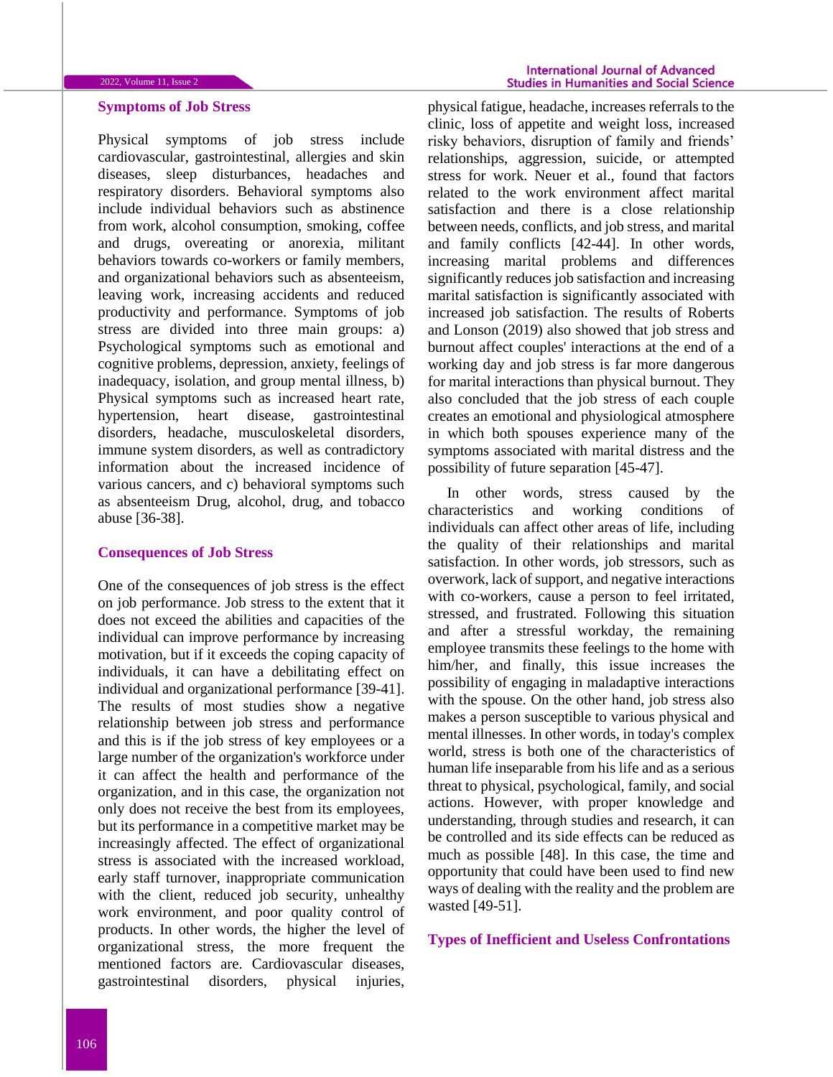# **Symptoms of Job Stress**

Physical symptoms of job stress include cardiovascular, gastrointestinal, allergies and skin diseases, sleep disturbances, headaches and respiratory disorders. Behavioral symptoms also include individual behaviors such as abstinence from work, alcohol consumption, smoking, coffee and drugs, overeating or anorexia, militant behaviors towards co-workers or family members, and organizational behaviors such as absenteeism, leaving work, increasing accidents and reduced productivity and performance. Symptoms of job stress are divided into three main groups: a) Psychological symptoms such as emotional and cognitive problems, depression, anxiety, feelings of inadequacy, isolation, and group mental illness, b) Physical symptoms such as increased heart rate, hypertension, heart disease, gastrointestinal disorders, headache, musculoskeletal disorders, immune system disorders, as well as contradictory information about the increased incidence of various cancers, and c) behavioral symptoms such as absenteeism Drug, alcohol, drug, and tobacco abuse [36-38].

#### **Consequences of Job Stress**

One of the consequences of job stress is the effect on job performance. Job stress to the extent that it does not exceed the abilities and capacities of the individual can improve performance by increasing motivation, but if it exceeds the coping capacity of individuals, it can have a debilitating effect on individual and organizational performance [39-41]. The results of most studies show a negative relationship between job stress and performance and this is if the job stress of key employees or a large number of the organization's workforce under it can affect the health and performance of the organization, and in this case, the organization not only does not receive the best from its employees, but its performance in a competitive market may be increasingly affected. The effect of organizational stress is associated with the increased workload, early staff turnover, inappropriate communication with the client, reduced job security, unhealthy work environment, and poor quality control of products. In other words, the higher the level of organizational stress, the more frequent the mentioned factors are. Cardiovascular diseases, gastrointestinal disorders, physical injuries,

physical fatigue, headache, increases referrals to the clinic, loss of appetite and weight loss, increased risky behaviors, disruption of family and friends' relationships, aggression, suicide, or attempted stress for work. Neuer et al., found that factors related to the work environment affect marital satisfaction and there is a close relationship between needs, conflicts, and job stress, and marital and family conflicts [42-44]. In other words, increasing marital problems and differences significantly reduces job satisfaction and increasing marital satisfaction is significantly associated with increased job satisfaction. The results of Roberts and Lonson (2019) also showed that job stress and burnout affect couples' interactions at the end of a working day and job stress is far more dangerous for marital interactions than physical burnout. They also concluded that the job stress of each couple creates an emotional and physiological atmosphere in which both spouses experience many of the symptoms associated with marital distress and the possibility of future separation [45-47].

In other words, stress caused by the characteristics and working conditions of individuals can affect other areas of life, including the quality of their relationships and marital satisfaction. In other words, job stressors, such as overwork, lack of support, and negative interactions with co-workers, cause a person to feel irritated, stressed, and frustrated. Following this situation and after a stressful workday, the remaining employee transmits these feelings to the home with him/her, and finally, this issue increases the possibility of engaging in maladaptive interactions with the spouse. On the other hand, job stress also makes a person susceptible to various physical and mental illnesses. In other words, in today's complex world, stress is both one of the characteristics of human life inseparable from his life and as a serious threat to physical, psychological, family, and social actions. However, with proper knowledge and understanding, through studies and research, it can be controlled and its side effects can be reduced as much as possible [48]. In this case, the time and opportunity that could have been used to find new ways of dealing with the reality and the problem are wasted [49-51].

#### **Types of Inefficient and Useless Confrontations**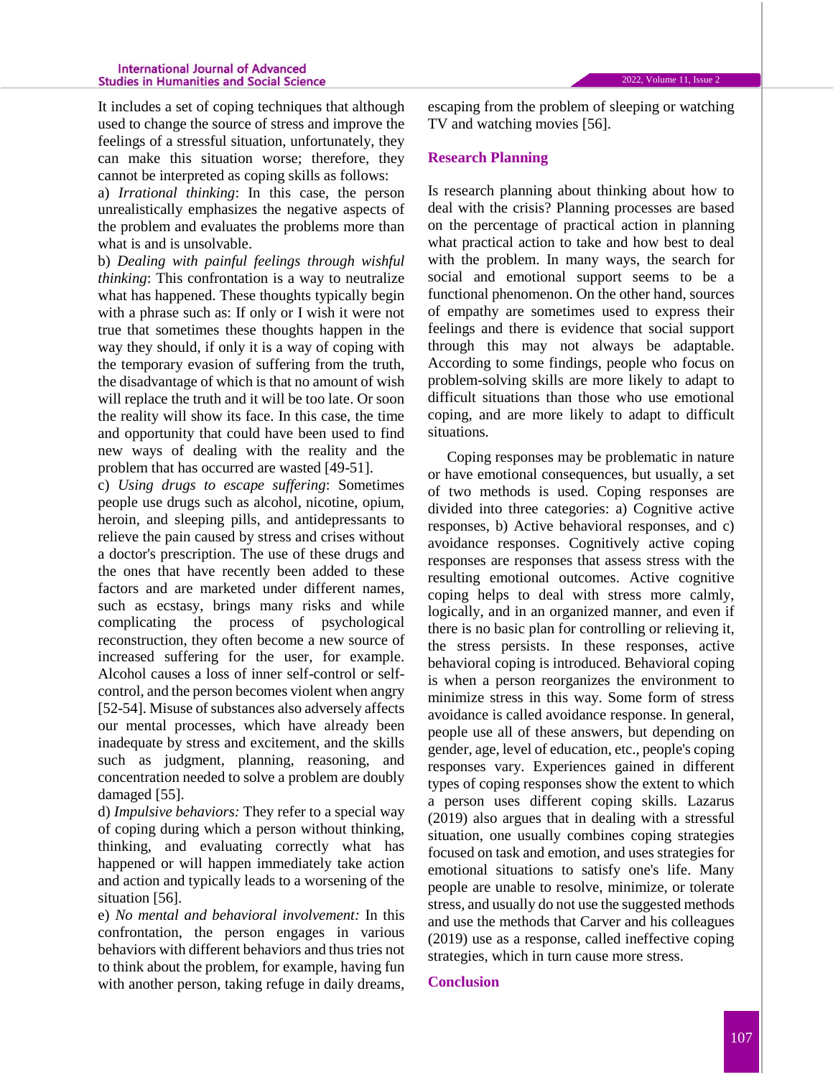It includes a set of coping techniques that although used to change the source of stress and improve the feelings of a stressful situation, unfortunately, they can make this situation worse; therefore, they cannot be interpreted as coping skills as follows:

a) *Irrational thinking*: In this case, the person unrealistically emphasizes the negative aspects of the problem and evaluates the problems more than what is and is unsolvable.

b) *Dealing with painful feelings through wishful thinking*: This confrontation is a way to neutralize what has happened. These thoughts typically begin with a phrase such as: If only or I wish it were not true that sometimes these thoughts happen in the way they should, if only it is a way of coping with the temporary evasion of suffering from the truth, the disadvantage of which is that no amount of wish will replace the truth and it will be too late. Or soon the reality will show its face. In this case, the time and opportunity that could have been used to find new ways of dealing with the reality and the problem that has occurred are wasted [49-51].

c) *Using drugs to escape suffering*: Sometimes people use drugs such as alcohol, nicotine, opium, heroin, and sleeping pills, and antidepressants to relieve the pain caused by stress and crises without a doctor's prescription. The use of these drugs and the ones that have recently been added to these factors and are marketed under different names, such as ecstasy, brings many risks and while complicating the process of psychological reconstruction, they often become a new source of increased suffering for the user, for example. Alcohol causes a loss of inner self-control or selfcontrol, and the person becomes violent when angry [52-54]. Misuse of substances also adversely affects our mental processes, which have already been inadequate by stress and excitement, and the skills such as judgment, planning, reasoning, and concentration needed to solve a problem are doubly damaged [55].

d) *Impulsive behaviors:* They refer to a special way of coping during which a person without thinking, thinking, and evaluating correctly what has happened or will happen immediately take action and action and typically leads to a worsening of the situation [56].

e) *No mental and behavioral involvement:* In this confrontation, the person engages in various behaviors with different behaviors and thus tries not to think about the problem, for example, having fun with another person, taking refuge in daily dreams,

escaping from the problem of sleeping or watching TV and watching movies [56].

#### **Research Planning**

Is research planning about thinking about how to deal with the crisis? Planning processes are based on the percentage of practical action in planning what practical action to take and how best to deal with the problem. In many ways, the search for social and emotional support seems to be a functional phenomenon. On the other hand, sources of empathy are sometimes used to express their feelings and there is evidence that social support through this may not always be adaptable. According to some findings, people who focus on problem-solving skills are more likely to adapt to difficult situations than those who use emotional coping, and are more likely to adapt to difficult situations.

Coping responses may be problematic in nature or have emotional consequences, but usually, a set of two methods is used. Coping responses are divided into three categories: a) Cognitive active responses, b) Active behavioral responses, and c) avoidance responses. Cognitively active coping responses are responses that assess stress with the resulting emotional outcomes. Active cognitive coping helps to deal with stress more calmly, logically, and in an organized manner, and even if there is no basic plan for controlling or relieving it, the stress persists. In these responses, active behavioral coping is introduced. Behavioral coping is when a person reorganizes the environment to minimize stress in this way. Some form of stress avoidance is called avoidance response. In general, people use all of these answers, but depending on gender, age, level of education, etc., people's coping responses vary. Experiences gained in different types of coping responses show the extent to which a person uses different coping skills. Lazarus (2019) also argues that in dealing with a stressful situation, one usually combines coping strategies focused on task and emotion, and uses strategies for emotional situations to satisfy one's life. Many people are unable to resolve, minimize, or tolerate stress, and usually do not use the suggested methods and use the methods that Carver and his colleagues (2019) use as a response, called ineffective coping strategies, which in turn cause more stress.

## **Conclusion**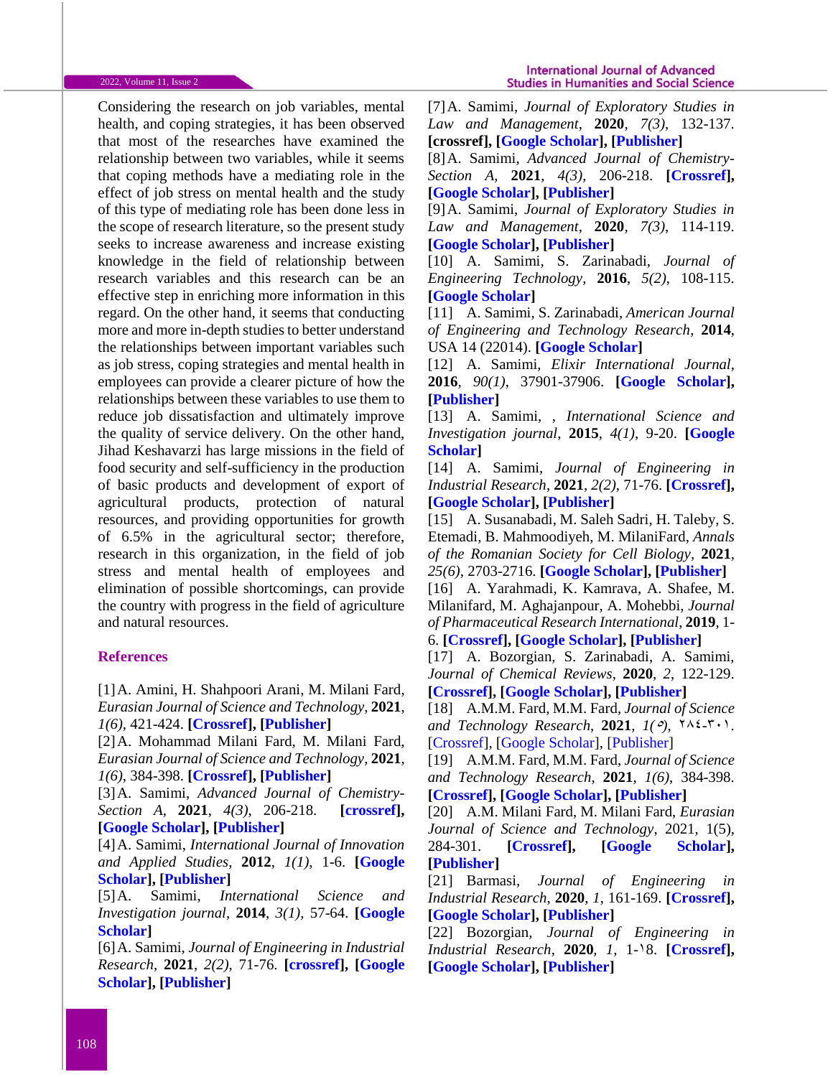Considering the research on job variables, mental health, and coping strategies, it has been observed that most of the researches have examined the relationship between two variables, while it seems that coping methods have a mediating role in the effect of job stress on mental health and the study of this type of mediating role has been done less in the scope of research literature, so the present study seeks to increase awareness and increase existing knowledge in the field of relationship between research variables and this research can be an effective step in enriching more information in this regard. On the other hand, it seems that conducting more and more in-depth studies to better understand the relationships between important variables such as job stress, coping strategies and mental health in employees can provide a clearer picture of how the relationships between these variables to use them to reduce job dissatisfaction and ultimately improve the quality of service delivery. On the other hand, Jihad Keshavarzi has large missions in the field of food security and self-sufficiency in the production of basic products and development of export of agricultural products, protection of natural resources, and providing opportunities for growth of 6.5% in the agricultural sector; therefore, research in this organization, in the field of job stress and mental health of employees and elimination of possible shortcomings, can provide the country with progress in the field of agriculture and natural resources.

## **References**

[1]A. Amini, H. Shahpoori Arani, M. Milani Fard, *Eurasian Journal of Science and Technology*, **2021**, *1(6)*, 421-424. **[\[Crossref\]](10.22034/jstr.2021.291347.1050), [\[Publisher\]](http://ejst.samipubco.com/article_133942.html)** 

[2]A. Mohammad Milani Fard, M. Milani Fard, *Eurasian Journal of Science and Technology*, **2021**, *1(6)*, 384-398. **[\[Crossref\]](10.22034/jstr.2021.289470.1047), [\[Publisher\]](http://ejst.samipubco.com/article_132494.html)** 

[3]A. Samimi, *Advanced Journal of Chemistry-Section A*, **2021**, *4(3)*, 206-218. **[\[crossref\]](http://dx.doi.org/10.22034/ajca.2021.277905.1248), [\[Google Scholar\]](https://scholar.google.com/citations?hl=en&user=YhvFZdcAAAAJ&view_op=list_works&sortby=pubdate), [\[Publisher\]](http://www.ajchem-a.com/article_130196.html)**

[4]A. Samimi, *International Journal of Innovation and Applied Studies*, **2012**, *1(1)*, 1-6. **[\[Google](https://scholar.google.com/citations?hl=en&user=YhvFZdcAAAAJ&view_op=list_works&sortby=pubdate)  [Scholar\]](https://scholar.google.com/citations?hl=en&user=YhvFZdcAAAAJ&view_op=list_works&sortby=pubdate), [\[Publisher\]](https://hal.archives-ouvertes.fr/hal-00771567)**

[5]A. Samimi, *International Science and Investigation journal*, **2014**, *3(1)*, 57-64. **[\[Google](https://scholar.google.com/citations?hl=en&user=YhvFZdcAAAAJ&view_op=list_works&sortby=pubdate)  [Scholar\]](https://scholar.google.com/citations?hl=en&user=YhvFZdcAAAAJ&view_op=list_works&sortby=pubdate)**

[6]A. Samimi, *Journal of Engineering in Industrial Research*, **2021**, *2(2)*, 71-76. **[\[crossref\]](http://dx.doi.org/10.22034/jeires.2021.269282.1021), [\[Google](https://scholar.google.com/citations?hl=en&user=YhvFZdcAAAAJ&view_op=list_works&sortby=pubdate)  [Scholar\]](https://scholar.google.com/citations?hl=en&user=YhvFZdcAAAAJ&view_op=list_works&sortby=pubdate), [\[Publisher\]](http://www.jeires.com/article_129037.html)**

[7]A. Samimi, *Journal of Exploratory Studies in Law and Management*, **2020**, *7(3)*, 132-137. **[crossref], [\[Google Scholar\]](https://scholar.google.com/citations?hl=en&user=YhvFZdcAAAAJ&view_op=list_works&sortby=pubdate), [\[Publisher\]](http://worldofresearches.com/ojs-2.4.4-1/index.php/CJNMS/article/view/941)**

[8]A. Samimi, *Advanced Journal of Chemistry-Section A*, **2021**, *4(3)*, 206-218. **[\[Crossref\]](10.22034/ajca.2021.277905.1248), [\[Google Scholar\]](https://scholar.google.com/citations?view_op=view_citation&hl=en&user=YhvFZdcAAAAJ&sortby=pubdate&citation_for_view=YhvFZdcAAAAJ:Zh0EY9V9P6UC), [\[Publisher\]](http://www.ajchem-a.com/article_130196.html)**

[9]A. Samimi, *Journal of Exploratory Studies in Law and Management*, **2020**, *7(3)*, 114-119. **[\[Google Scholar\]](https://scholar.google.com/citations?hl=en&user=YhvFZdcAAAAJ&view_op=list_works&sortby=pubdate), [\[Publisher\]](http://worldofresearches.com/ojs-2.4.4-1/index.php/CJNMS/issue/view/115)**

[10] A. Samimi, S. Zarinabadi, *Journal of Engineering Technology*, **2016**, *5(2)*, 108-115. **[\[Google Scholar\]](https://scholar.google.com/citations?hl=en&user=YhvFZdcAAAAJ&view_op=list_works&sortby=pubdate)**

[11] A. Samimi, S. Zarinabadi, *American Journal of Engineering and Technology Research*, **2014**, USA 14 (22014). **[\[Google Scholar\]](https://scholar.google.com/citations?hl=en&user=YhvFZdcAAAAJ&view_op=list_works&sortby=pubdate)**

[12] A. Samimi, *Elixir International Journal*, **2016**, *90(1)*, 37901-37906. **[\[Google Scholar\]](https://scholar.google.com/citations?hl=en&user=YhvFZdcAAAAJ&view_op=list_works&sortby=pubdate), [\[Publisher\]](https://www.elixirpublishers.com/index.php?route=articles/archives&month=January&year=2016&sort=a.title&order=DESC&page=4)**

[13] A. Samimi, , *International Science and Investigation journal*, **2015**, *4(1)*, 9-20. **[\[Google](https://scholar.google.com/citations?hl=en&user=YhvFZdcAAAAJ&view_op=list_works&sortby=pubdate)  [Scholar\]](https://scholar.google.com/citations?hl=en&user=YhvFZdcAAAAJ&view_op=list_works&sortby=pubdate)**

[14] A. Samimi, *Journal of Engineering in Industrial Research*, **2021**, *2(2)*, 71-76. **[\[Crossref\]](https://dx.doi.org/10.22034/jeires.2021.269282.1021), [\[Google Scholar\]](https://scholar.google.com/citations?hl=en&user=YhvFZdcAAAAJ&view_op=list_works&sortby=pubdate), [\[Publisher\]](http://www.jeires.com/article_129037.html)**

[15] A. Susanabadi, M. Saleh Sadri, H. Taleby, S. Etemadi, B. Mahmoodiyeh, M. MilaniFard, *Annals of the Romanian Society for Cell Biology,* **2021***, 25(6)*, 2703-2716. **[\[Google Scholar\]](https://scholar.google.com/scholar?hl=en&as_sdt=0%2C5&q=A+Susanabadi%2C+M+Saleh+Sadri%2C+H+Taleby%2C+S+Etemadi%2C+B+Mahmoodiyeh%2C+M+MilaniFard%2C+Evaluating+the+Outcome+of+Total+Intravenous+Anesthesia+and+Single+Drug+Pharmacological+to+Prevent+Postoperative+Vomiting%3A+Systematic+Review+and+Meta-Analysis%2C+Annals+of+the+&btnG=), [\[Publisher\]](https://www.annalsofrscb.ro/index.php/journal/article/view/5896)**

[16] A. Yarahmadi, K. Kamrava, A. Shafee, M. Milanifard, M. Aghajanpour, A. Mohebbi, *Journal of Pharmaceutical Research International*, **2019**, 1- 6. **[\[Crossref\]](10.9734/jpri/2019/v31i630369), [\[Google Scholar\]](https://scholar.google.com/scholar?hl=en&as_sdt=0%2C5&q=Investigation+of+Olfactory+Function+Following+Septorhinoplasty+in+Iranian+Population+by+Rapid+Smell+Test+%28RST%29&btnG=), [\[Publisher\]](https://www.journaljpri.com/index.php/JPRI/article/view/30369)**

[17] A. Bozorgian, S. Zarinabadi, A. Samimi, *Journal of Chemical Reviews*, **2020**, *2*, 122-129. **[\[Crossref\]](https://dx.doi.org/10.33945/SAMI/JCR.2020.2.5), [Google [Scholar\]](https://scholar.google.com/scholar?hl=en&as_sdt=0%2C5&q=+Optimization+of+Well+Production+by+Designing+a+Core+pipe+in+one+of+the+Southwest+oil+Wells+of+Iran&btnG=), [\[Publisher\]](http://www.jchemrev.com/article_103699.html)**

[18] A.M.M. Fard, M.M. Fard, *Journal of Science and Technology Research, 2021, 1(°),*  $\forall \lambda \in \mathcal{F}(\cdot)$ *.* [\[Crossref\]](https://doi.org/10.22034/JSTR.2021.289424.1046), [\[Google Scholar\]](https://scholar.google.com/citations?user=EvCwnBMAAAAJ&hl=en), [\[Publisher\]](http://jstr.samipubco.com/article_132074.html)

[19] A.M.M. Fard, M.M. Fard, *Journal of Science and Technology Research*, **2021**, *1(6)*, 384-398. **[\[Crossref\]](http://dx.doi.org/10.22034/jstr.2021.289470.1047), [\[Google Scholar\]](https://scholar.google.com/citations?user=EvCwnBMAAAAJ&hl=en), [\[Publisher\]](http://jstr.samipubco.com/article_132494.html)**

[20] A.M. Milani Fard, M. Milani Fard, *Eurasian Journal of Science and Technology*, 2021, 1(5), 284-301. **[\[Crossref\]](https://doi.org/10.22034/JSTR.2021.289424.1046), [\[Google Scholar\]](https://scholar.google.com/citations?user=EvCwnBMAAAAJ&hl=en), [\[Publisher\]](http://jstr.samipubco.com/article_132074.html)** 

[21] Barmasi, *Journal of Engineering in Industrial Research*, **2020**, *1*, 161-169. **[\[Crossref\]](http://dx.doi.org/10.22034/jeires.2020.263702.1014), [\[Google Scholar\]](https://scholar.google.com/scholar?hl=en&as_sdt=0%2C5&q=The+Effect+of+Adding+Saccharin+to+the+Bath+on+the+Hardness+and+Wear+Behavior+of+the+Coating&btnG=), [\[Publisher\]](http://www.jeires.com/article_120956.html)**

[22] Bozorgian, *Journal of Engineering in Industrial Research*, **2020**, *1*, 1-38. **[\[Crossref\]](http://dx.doi.org/10.22034/jeires.2020.260854.1000), [\[Google Scholar\]](https://scholar.google.com/scholar?hl=en&as_sdt=0%2C5&q=Investigation+of+the+history+of+formation+of+gas+hydrates%2C+&btnG=), [\[Publisher\]](http://www.jeires.com/article_120226.html)**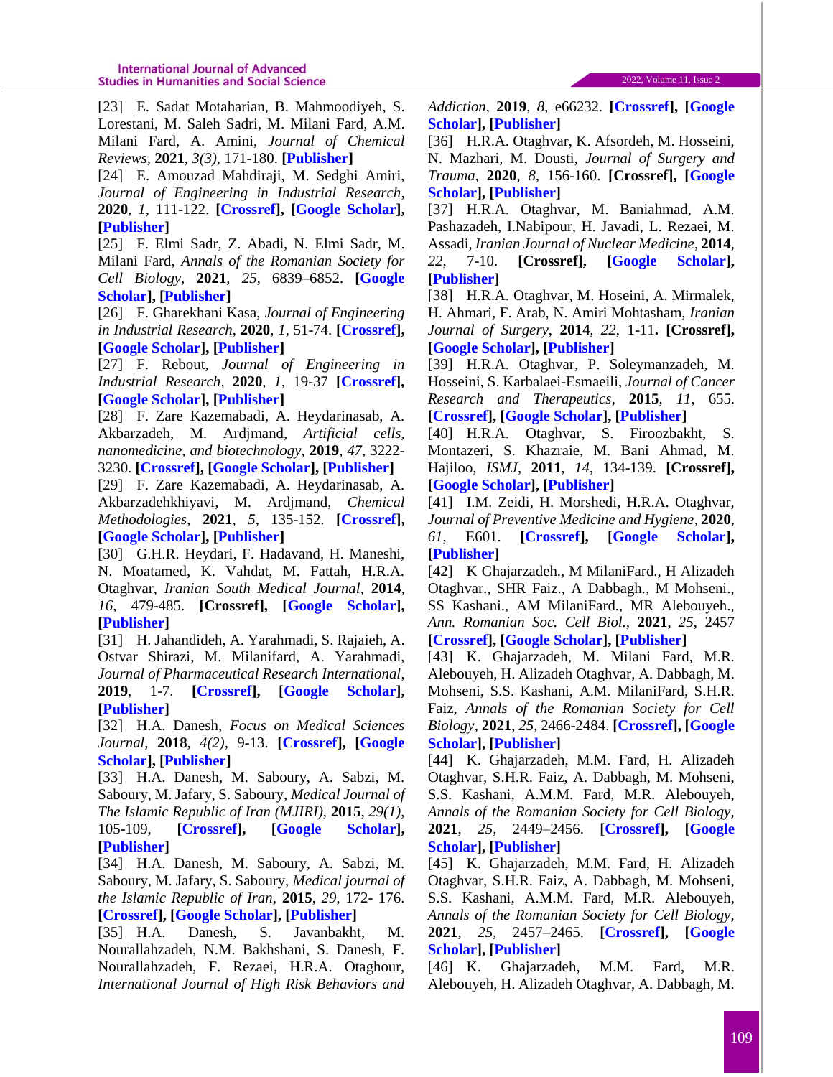[23] E. Sadat Motaharian, B. Mahmoodiyeh, S. Lorestani, M. Saleh Sadri, M. Milani Fard, A.M. Milani Fard, A. Amini, *Journal of Chemical Reviews*, **2021**, *3(3)*, 171-180. **[\[Publisher\]](http://www.jchemrev.com/article_133038.html)**

[24] E. Amouzad Mahdiraji, M. Sedghi Amiri, *Journal of Engineering in Industrial Research*, **2020**, *1*, 111-122. **[\[Crossref\]](http://dx.doi.org/10.22034/jeires.2020.261386.1004), [\[Google Scholar\]](https://scholar.google.com/scholar?hl=en&as_sdt=0%2C5&q=Optimization+of+Market+Clearing+Process+in+Power+System+with+NSGA+Algorithm&btnG=), [\[Publisher\]](http://www.jeires.com/article_120273.html)**

[25] F. Elmi Sadr, Z. Abadi, N. Elmi Sadr, M. Milani Fard, *Annals of the Romanian Society for Cell Biology,* **2021**, *25*, 6839–6852. **[\[Google](https://scholar.google.com/scholar?hl=en&as_sdt=0%2C5&q=F+Elmi+Sadr%2C+Z+Abadi%2C+N+Elmi+Sadr%2C+M+Milani+Fard%2C+Annals+of+the+Romanian+Society+for+Cell+Biology&btnG=)  [Scholar\]](https://scholar.google.com/scholar?hl=en&as_sdt=0%2C5&q=F+Elmi+Sadr%2C+Z+Abadi%2C+N+Elmi+Sadr%2C+M+Milani+Fard%2C+Annals+of+the+Romanian+Society+for+Cell+Biology&btnG=), [\[Publisher\]](https://www.annalsofrscb.ro/index.php/journal/article/view/852)**

[26] F. Gharekhani Kasa, *Journal of Engineering in Industrial Research*, **2020**, *1*, 51-74. **[\[Crossref\]](http://dx.doi.org/10.22034/jeires.2020.262801.1008), [\[Google Scholar\]](https://scholar.google.com/scholar?hl=en&as_sdt=0%2C5&q=A+Study+of+the+Architectural+Design+of+Contemporary+Museums+in+Iran%2C&btnG=), [\[Publisher\]](http://www.jeires.com/article_120681.html)**

[27] F. Rebout, *Journal of Engineering in Industrial Research*, **2020**, *1*, 19-37 **[\[Crossref\]](http://dx.doi.org/10.22034/jeires.2020.262514.1006), [\[Google Scholar\]](https://scholar.google.com/scholar?hl=en&as_sdt=0%2C5&q=CFA+Performance+Evaluation%3A+a+Comprehensive+Structural+Equation+Modeling%2C+&btnG=), [\[Publisher\]](http://www.jeires.com/article_120575.html)**

[28] F. Zare Kazemabadi, A. Heydarinasab, A. Akbarzadeh, M. Ardjmand, *Artificial cells, nanomedicine, and biotechnology*, **2019**, *47*, 3222- 3230. **[\[Crossref\]](file:///E:/Dr%20Samimi/Bearbeiten/Schablone/Journal%20of%20Science%20and%20Technology%20Research/JSTR-2105-1033/10.1080/21691401.2019.1646265), [\[Google Scholar\]](https://scholar.google.com/citations?hl=en&user=3cWk2lkAAAAJ), [\[Publisher\]](http://www.ijnc.ir/article_38621.html)**

[29] F. Zare Kazemabadi, A. Heydarinasab, A. Akbarzadehkhiyavi, M. Ardjmand, *Chemical Methodologies*, **2021**, *5*, 135-152. **[\[Crossref\]](http://dx.doi.org/10.22034/chemm.2021.121495), [\[Google Scholar\]](https://scholar.google.com/citations?hl=en&user=3cWk2lkAAAAJ), [\[Publisher\]](http://www.ijnc.ir/article_38621.html)**

[30] G.H.R. Heydari, F. Hadavand, H. Maneshi, N. Moatamed, K. Vahdat, M. Fattah, H.R.A. Otaghvar, *Iranian South Medical Journal*, **2014**, *16*, 479-485. **[Crossref], [\[Google Scholar\]](https://scholar.google.com/scholar?hl=en&as_sdt=0%2C5&q=Evaluation+of+resistancy+to+imipenem+in+positive+blood+culture+in+bushehr+educational+hospitals+-1389&btnG=), [\[Publisher\]](https://ismj.bpums.ac.ir/article-1-478-en.html)**

[31] H. Jahandideh, A. Yarahmadi, S. Rajaieh, A. Ostvar Shirazi, M. Milanifard, A. Yarahmadi, *Journal of Pharmaceutical Research International*, **2019**, 1-7. **[\[Crossref\]](10.9734/jpri/2019/v31i630380), [\[Google Scholar\]](https://scholar.google.com/scholar?hl=en&as_sdt=0%2C5&q=+H+Jahandideh%2C+A+Yarahmadi%2C+S+Rajaieh%2C+A+Ostvar+Shirazi%2C+M+Milanifard%2C+A+Yarahmadi%2C+Cone-beam+computed+tomography+guidance+in+functional+endoscopic+sinus+surgery%3A+a+retrospective+cohort+study%2C+Journal+of+Pharmaceutical+Research+International&btnG=), [\[Publisher\]](https://www.journaljpri.com/index.php/JPRI/article/view/30380)**

[32] H.A. Danesh, *Focus on Medical Sciences Journal,* **2018**, *4(2),* 9-13. **[\[Crossref\]](javascript:void(0)), [\[Google](https://scholar.google.com/scholar?hl=en&as_sdt=0%2C5&q=The+Effect+of+Interventional+Education+on+Knowledge+about+Medical+Documentation+and+Medical+Ethics+in+the+Residents+of+Arak+University+of+Medical+Sciences&btnG=)  [Scholar\]](https://scholar.google.com/scholar?hl=en&as_sdt=0%2C5&q=The+Effect+of+Interventional+Education+on+Knowledge+about+Medical+Documentation+and+Medical+Ethics+in+the+Residents+of+Arak+University+of+Medical+Sciences&btnG=), [\[Publisher\]](javascript:void(0))**

[33] H.A. Danesh, M. Saboury, A. Sabzi, M. Saboury, M. Jafary, S. Saboury, *Medical Journal of The Islamic Republic of Iran (MJIRI),* **2015**, *29(1)*, 105-109, **[\[Crossref\]](https://sites.kowsarpub.com/ijcm/articles/11463.html), [\[Google Scholar\]](https://scholar.google.com/scholar?hl=en&as_sdt=0%2C5&q=Do+not+underestimate+fournier%E2%80%99s+gangrene%3A+Report+of+8+cases+in+10+month+survey&btnG=), [\[Publisher\]](https://sites.kowsarpub.com/ijcm/articles/11463.html)**

[34] H.A. Danesh, M. Saboury, A. Sabzi, M. Saboury, M. Jafary, S. Saboury, *Medical journal of the Islamic Republic of Iran,* **2015**, *29*, 172- 176. **[\[Crossref\]](https://pubmed.ncbi.nlm.nih.gov/26034725/), [\[Google Scholar\]](https://scholar.google.com/scholar?hl=en&as_sdt=0%2C5&q=Do+not+underestimate+fournier%E2%80%99s+gangrene%3A+Report+of+8+cases+in+10+month+survey&btnG=), [\[Publisher\]](https://pubmed.ncbi.nlm.nih.gov/26034725/)**

[35] H.A. Danesh, S. Javanbakht, M. Nourallahzadeh, N.M. Bakhshani, S. Danesh, F. Nourallahzadeh, F. Rezaei, H.R.A. Otaghour, *International Journal of High Risk Behaviors and*  *Addiction*, **2019**, *8*, e66232. **[\[Crossref\]](https://dx.doi.org/10.5812/ijhrba.66232), [\[Google](https://scholar.google.com/scholar?hl=en&as_sdt=2005&sciodt=0%2C5&cites=10649001896063286674&scipsc=&q=Epidemiology+and+Mortality+of+Burn+Injuries+in+Eastern+Iran+Since+2009%3A+An+Analysis+of+2115+Cases&btnG=)  [Scholar\]](https://scholar.google.com/scholar?hl=en&as_sdt=2005&sciodt=0%2C5&cites=10649001896063286674&scipsc=&q=Epidemiology+and+Mortality+of+Burn+Injuries+in+Eastern+Iran+Since+2009%3A+An+Analysis+of+2115+Cases&btnG=), [\[Publisher\]](https://sites.kowsarpub.com/ijhrba/articles/66232.html)**

[36] H.R.A. Otaghvar, K. Afsordeh, M. Hosseini, N. Mazhari, M. Dousti, *Journal of Surgery and Trauma*, **2020**, *8*, 156-160. **[Crossref], [\[Google](https://scholar.google.com/scholar?hl=en&as_sdt=0%2C5&q=Causes+of+wound+dehiscence+in+trauma+patients+with+penetrating+and+non-penetrating+abdominal+wound+in+Rasool+Akram+Hospital+within+2017-2020&btnG=)  [Scholar\]](https://scholar.google.com/scholar?hl=en&as_sdt=0%2C5&q=Causes+of+wound+dehiscence+in+trauma+patients+with+penetrating+and+non-penetrating+abdominal+wound+in+Rasool+Akram+Hospital+within+2017-2020&btnG=), [\[Publisher\]](http://jsurgery.bums.ac.ir/browse.php?a_code=A-10-231-1&slc_lang=en&sid=1)**

[37] H.R.A. Otaghvar, M. Baniahmad, A.M. Pashazadeh, I.Nabipour, H. Javadi, L. Rezaei, M. Assadi, *Iranian Journal of Nuclear Medicine*, **2014**, *22*, 7-10. **[Crossref], [\[Google Scholar\]](https://scholar.google.com/scholar?hl=en&as_sdt=0%2C5&q=The+role+of+%5B99m%5D+Tc-Ubiquicidin+%5BUBI%5D+and+%5B99m%5D+Tc-IgG+scintigraphies+in+diagnosis+of+acute+appendicitis%3A+a+preliminary+result&btnG=), [\[Publisher\]](https://vlibrary.emro.who.int/imemr/the-role-of-99mtc-ubiquicidin-ubiand-99mtc-igg-scintigraphies-in-diagnosis-of-acute-appendicitis-a-preliminary-result-2/)**

[38] H.R.A. Otaghvar, M. Hoseini, A. Mirmalek, H. Ahmari, F. Arab, N. Amiri Mohtasham, *Iranian Journal of Surgery*, **2014**, *22*, 1-11**. [Crossref], [\[Google Scholar\]](https://scholar.google.com/scholar?hl=en&as_sdt=0%2C5&q=BREAST+SARCOMA%3A+A+REVIEW+ARTICLE&btnG=), [\[Publisher\]](http://www.ijs.ir/components4.php?rQV=8BEMApDdyFGdz9lZ8BUOyAkOklEduVmchB3XmxHQ1UzMApDZJ1WZ0l2XmxHQyATNApDZJ52bpR3Yh9lZ)**

[39] H.R.A. Otaghvar, P. Soleymanzadeh, M. Hosseini, S. Karbalaei-Esmaeili, *Journal of Cancer Research and Therapeutics*, **2015**, *11,* 655. **[\[Crossref\]](https://doi.org/10.4103/0973-1482.139346), [\[Google Scholar\]](https://scholar.google.com/scholar?hl=en&as_sdt=0%2C5&q=Primary+breast+angiosarcoma+associated+with+abnormalities+in+international+normalized+ratio+platelet+count+and+anemia&btnG=), [\[Publisher\]](https://www.cancerjournal.net/article.asp?issn=0973-1482;year=2015;volume=11;issue=3;spage=655;epage=655;aulast=Soleymanzadeh)**

[40] H.R.A. Otaghvar, S. Firoozbakht, S. Montazeri, S. Khazraie, M. Bani Ahmad, M. Hajiloo, *ISMJ*, **2011**, *14*, 134-139. **[Crossref], [\[Google Scholar\]](https://scholar.google.com/scholar?hl=en&as_sdt=0%2C5&q=A+Remarkable+Improvement+of+Patients+with+Idiopathic+Thrombocytopenic+Purpura+after+appendectomy+including+Carcinoid+tumor%2C+&btnG=), [\[Publisher\]](https://ismj.bpums.ac.ir/article-1-260-en.html)**

[41] I.M. Zeidi, H. Morshedi, H.R.A. Otaghvar, *Journal of Preventive Medicine and Hygiene*, **2020**, *61*, E601. **[\[Crossref\]](https://doi.org/10.15167/2421-4248/jpmh2020.61.4.1504), [\[Google Scholar\]](https://scholar.google.com/scholar?hl=en&as_sdt=0%2C5&q=A+theory+of+planned+behavior-enhanced+intervention+to+promote+health+literacy+and+self-care+behaviors+of+type+2+diabetic+patients+%3A+intervention+to+promote+health+literacy+and+self-care+behaviors+of+type+2+diabetic+patients&btnG=), [\[Publisher\]](https://www.jpmh.org/index.php/jpmh/article/view/1504)**

[42] K Ghajarzadeh., M MilaniFard., H Alizadeh Otaghvar., SHR Faiz., A Dabbagh., M Mohseni., SS Kashani., AM MilaniFard., MR Alebouyeh., *Ann. Romanian Soc. Cell Biol.,* **2021**, *25*, 2457 **[\[Crossref\]](https://annalsofrscb.ro/index.php/journal/article/view/1212), [\[Google Scholar\]](https://scholar.google.com/scholar?hl=en&as_sdt=0%2C5&q=Effects+of+Dexmedetomidine+and+Propofol+on+Hemodynamic+Stability+and+Ventilation+Time+in+Patients+Suffering+COVID-19+Admitting+to+Intensive+Care+Units&btnG=), [\[Publisher\]](https://annalsofrscb.ro/index.php/journal/article/view/1212)**

[43] K. Ghajarzadeh, M. Milani Fard, M.R. Alebouyeh, H. Alizadeh Otaghvar, A. Dabbagh, M. Mohseni, S.S. Kashani, A.M. MilaniFard, S.H.R. Faiz, *Annals of the Romanian Society for Cell Biology*, **2021**, *25*, 2466-2484. **[\[Crossref\]](https://annalsofrscb.ro/index.php/journal/article/view/1213), [\[Google](https://scholar.google.com/scholar?q=The+prominent+chest+CT+findings+in+Covid-19+patients:+A+systematic+review+and+meta-analysis&hl=en&as_sdt=0,5)  [Scholar\]](https://scholar.google.com/scholar?q=The+prominent+chest+CT+findings+in+Covid-19+patients:+A+systematic+review+and+meta-analysis&hl=en&as_sdt=0,5), [\[Publisher\]](https://annalsofrscb.ro/index.php/journal/article/view/1213)**

[44] K. Ghajarzadeh, M.M. Fard, H. Alizadeh Otaghvar, S.H.R. Faiz, A. Dabbagh, M. Mohseni, S.S. Kashani, A.M.M. Fard, M.R. Alebouyeh, *Annals of the Romanian Society for Cell Biology,*  **2021**, *25*, 2449–2456. **[\[Crossref\]](https://annalsofrscb.ro/index.php/journal/article/view/1211), [\[Google](https://scholar.google.com/scholar?hl=en&as_sdt=0%2C5&q=The+Effect+of+Educational+Curriculum+Implementation+Related+to+Tracheal+Intubation+on+Preventing+Clinical+and+Psychological+Consequences+of+COVID-19+among+Intensive+Care+Unit+Personnel&btnG=)  [Scholar\]](https://scholar.google.com/scholar?hl=en&as_sdt=0%2C5&q=The+Effect+of+Educational+Curriculum+Implementation+Related+to+Tracheal+Intubation+on+Preventing+Clinical+and+Psychological+Consequences+of+COVID-19+among+Intensive+Care+Unit+Personnel&btnG=), [\[Publisher\]](https://annalsofrscb.ro/index.php/journal/article/view/1211)**

[45] K. Ghajarzadeh, M.M. Fard, H. Alizadeh Otaghvar, S.H.R. Faiz, A. Dabbagh, M. Mohseni, S.S. Kashani, A.M.M. Fard, M.R. Alebouyeh, *Annals of the Romanian Society for Cell Biology,*  **2021**, *25*, 2457–2465. **[\[Crossref\]](https://annalsofrscb.ro/index.php/journal/article/view/1212), [\[Google](https://scholar.google.com/scholar?hl=en&as_sdt=0%2C5&q=Effects+of+Dexmedetomidine+and+Propofol+on+Hemodynamic+Stability+and+Ventilation+Time+in+Patients+Suffering+COVID-19+Admitting+to+Intensive+Care+Units&btnG=)  [Scholar\]](https://scholar.google.com/scholar?hl=en&as_sdt=0%2C5&q=Effects+of+Dexmedetomidine+and+Propofol+on+Hemodynamic+Stability+and+Ventilation+Time+in+Patients+Suffering+COVID-19+Admitting+to+Intensive+Care+Units&btnG=), [\[Publisher\]](https://annalsofrscb.ro/index.php/journal/article/view/1212)**

[46] K. Ghajarzadeh, M.M. Fard, M.R. Alebouyeh, H. Alizadeh Otaghvar, A. Dabbagh, M.